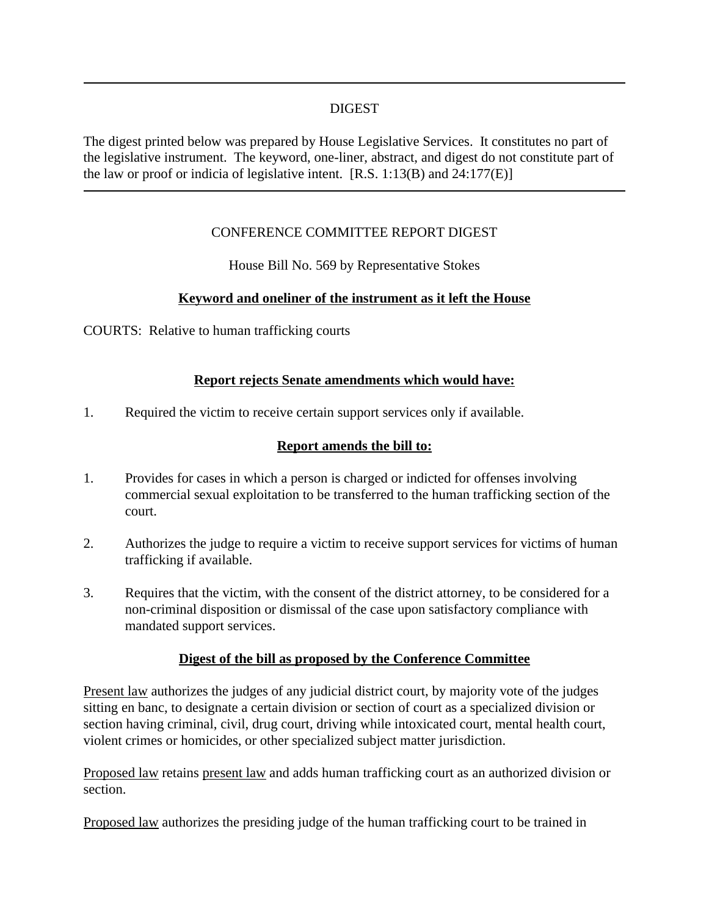### DIGEST

The digest printed below was prepared by House Legislative Services. It constitutes no part of the legislative instrument. The keyword, one-liner, abstract, and digest do not constitute part of the law or proof or indicia of legislative intent.  $[R.S. 1:13(B)$  and  $24:177(E)$ 

# CONFERENCE COMMITTEE REPORT DIGEST

House Bill No. 569 by Representative Stokes

# **Keyword and oneliner of the instrument as it left the House**

COURTS: Relative to human trafficking courts

#### **Report rejects Senate amendments which would have:**

1. Required the victim to receive certain support services only if available.

#### **Report amends the bill to:**

- 1. Provides for cases in which a person is charged or indicted for offenses involving commercial sexual exploitation to be transferred to the human trafficking section of the court.
- 2. Authorizes the judge to require a victim to receive support services for victims of human trafficking if available.
- 3. Requires that the victim, with the consent of the district attorney, to be considered for a non-criminal disposition or dismissal of the case upon satisfactory compliance with mandated support services.

#### **Digest of the bill as proposed by the Conference Committee**

Present law authorizes the judges of any judicial district court, by majority vote of the judges sitting en banc, to designate a certain division or section of court as a specialized division or section having criminal, civil, drug court, driving while intoxicated court, mental health court, violent crimes or homicides, or other specialized subject matter jurisdiction.

Proposed law retains present law and adds human trafficking court as an authorized division or section.

Proposed law authorizes the presiding judge of the human trafficking court to be trained in